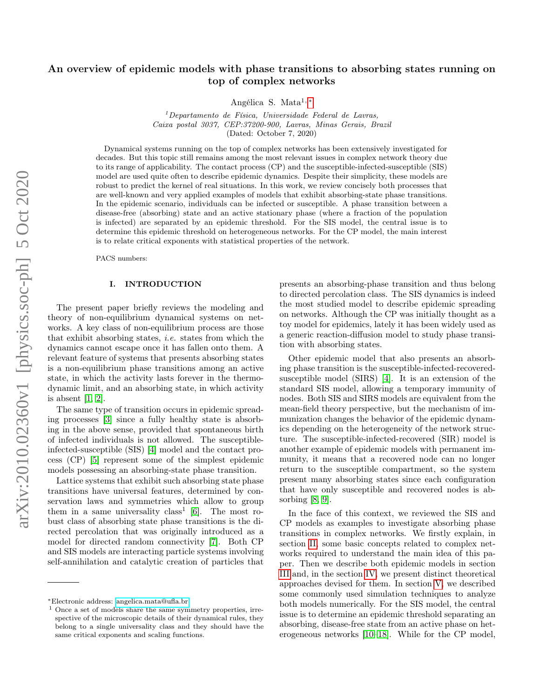# An overview of epidemic models with phase transitions to absorbing states running on top of complex networks

Angélica S. Mata<sup>1,\*</sup>

 $1$ Departamento de Física, Universidade Federal de Lavras, Caixa postal 3037, CEP:37200-900, Lavras, Minas Gerais, Brazil (Dated: October 7, 2020)

Dynamical systems running on the top of complex networks has been extensively investigated for decades. But this topic still remains among the most relevant issues in complex network theory due to its range of applicability. The contact process (CP) and the susceptible-infected-susceptible (SIS) model are used quite often to describe epidemic dynamics. Despite their simplicity, these models are robust to predict the kernel of real situations. In this work, we review concisely both processes that are well-known and very applied examples of models that exhibit absorbing-state phase transitions. In the epidemic scenario, individuals can be infected or susceptible. A phase transition between a disease-free (absorbing) state and an active stationary phase (where a fraction of the population is infected) are separated by an epidemic threshold. For the SIS model, the central issue is to determine this epidemic threshold on heterogeneous networks. For the CP model, the main interest is to relate critical exponents with statistical properties of the network.

PACS numbers:

# I. INTRODUCTION

The present paper briefly reviews the modeling and theory of non-equilibrium dynamical systems on networks. A key class of non-equilibrium process are those that exhibit absorbing states, i.e. states from which the dynamics cannot escape once it has fallen onto them. A relevant feature of systems that presents absorbing states is a non-equilibrium phase transitions among an active state, in which the activity lasts forever in the thermodynamic limit, and an absorbing state, in which activity is absent [\[1,](#page-12-0) [2\]](#page-12-1).

The same type of transition occurs in epidemic spreading processes [\[3\]](#page-12-2) since a fully healthy state is absorbing in the above sense, provided that spontaneous birth of infected individuals is not allowed. The susceptibleinfected-susceptible (SIS) [\[4\]](#page-12-3) model and the contact process (CP) [\[5\]](#page-12-4) represent some of the simplest epidemic models possessing an absorbing-state phase transition.

Lattice systems that exhibit such absorbing state phase transitions have universal features, determined by conservation laws and symmetries which allow to group them in a same universality class<sup>1</sup> [\[6\]](#page-12-5). The most robust class of absorbing state phase transitions is the directed percolation that was originally introduced as a model for directed random connectivity [\[7\]](#page-12-6). Both CP and SIS models are interacting particle systems involving self-annihilation and catalytic creation of particles that

presents an absorbing-phase transition and thus belong to directed percolation class. The SIS dynamics is indeed the most studied model to describe epidemic spreading on networks. Although the CP was initially thought as a toy model for epidemics, lately it has been widely used as a generic reaction-diffusion model to study phase transition with absorbing states.

Other epidemic model that also presents an absorbing phase transition is the susceptible-infected-recoveredsusceptible model (SIRS) [\[4\]](#page-12-3). It is an extension of the standard SIS model, allowing a temporary immunity of nodes. Both SIS and SIRS models are equivalent from the mean-field theory perspective, but the mechanism of immunization changes the behavior of the epidemic dynamics depending on the heterogeneity of the network structure. The susceptible-infected-recovered (SIR) model is another example of epidemic models with permanent immunity, it means that a recovered node can no longer return to the susceptible compartment, so the system present many absorbing states since each configuration that have only susceptible and recovered nodes is absorbing  $[8, 9]$  $[8, 9]$ .

In the face of this context, we reviewed the SIS and CP models as examples to investigate absorbing phase transitions in complex networks. We firstly explain, in section [II,](#page-1-0) some basic concepts related to complex networks required to understand the main idea of this paper. Then we describe both epidemic models in section [III](#page-1-1) and, in the section [IV,](#page-2-0) we present distinct theoretical approaches devised for them. In section [V,](#page-6-0) we described some commonly used simulation techniques to analyze both models numerically. For the SIS model, the central issue is to determine an epidemic threshold separating an absorbing, disease-free state from an active phase on heterogeneous networks [\[10–](#page-13-1)[18\]](#page-13-2). While for the CP model,

<span id="page-0-0"></span><sup>∗</sup>Electronic address: [angelica.mata@ufla.br](mailto:angelica.mata@ufla.br)

<sup>1</sup> Once a set of models share the same symmetry properties, irrespective of the microscopic details of their dynamical rules, they belong to a single universality class and they should have the same critical exponents and scaling functions.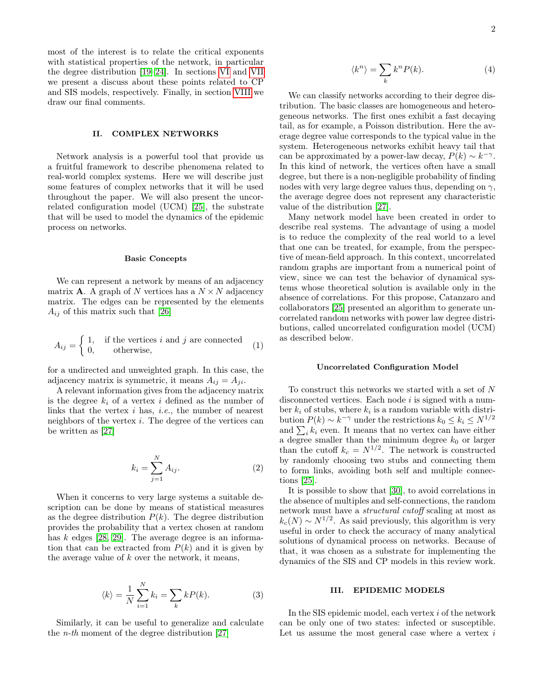most of the interest is to relate the critical exponents with statistical properties of the network, in particular the degree distribution [\[19](#page-13-3)[–24\]](#page-13-4). In sections [VI](#page-9-0) and [VII](#page-11-0) we present a discuss about these points related to CP and SIS models, respectively. Finally, in section [VIII](#page-12-8) we draw our final comments.

# II. COMPLEX NETWORKS

Network analysis is a powerful tool that provide us a fruitful framework to describe phenomena related to real-world complex systems. Here we will describe just some features of complex networks that it will be used throughout the paper. We will also present the uncorrelated configuration model (UCM) [\[25\]](#page-13-5), the substrate that will be used to model the dynamics of the epidemic process on networks.

#### Basic Concepts

We can represent a network by means of an adjacency matrix **A**. A graph of N vertices has a  $N \times N$  adjacency matrix. The edges can be represented by the elements  $A_{ij}$  of this matrix such that [\[26\]](#page-13-6)

$$
A_{ij} = \begin{cases} 1, & \text{if the vertices } i \text{ and } j \text{ are connected} \\ 0, & \text{otherwise,} \end{cases}
$$
 (1)

for a undirected and unweighted graph. In this case, the adjacency matrix is symmetric, it means  $A_{ij} = A_{ji}$ .

A relevant information gives from the adjacency matrix is the degree  $k_i$  of a vertex i defined as the number of links that the vertex  $i$  has,  $i.e.,$  the number of nearest neighbors of the vertex i. The degree of the vertices can be written as [\[27\]](#page-13-7)

$$
k_i = \sum_{j=1}^{N} A_{ij}.
$$
 (2)

When it concerns to very large systems a suitable description can be done by means of statistical measures as the degree distribution  $P(k)$ . The degree distribution provides the probability that a vertex chosen at random has  $k$  edges [\[28,](#page-13-8) [29\]](#page-13-9). The average degree is an information that can be extracted from  $P(k)$  and it is given by the average value of  $k$  over the network, it means,

$$
\langle k \rangle = \frac{1}{N} \sum_{i=1}^{N} k_i = \sum_{k} k P(k). \tag{3}
$$

Similarly, it can be useful to generalize and calculate the n-th moment of the degree distribution [\[27\]](#page-13-7)

$$
\langle k^n \rangle = \sum_k k^n P(k). \tag{4}
$$

We can classify networks according to their degree distribution. The basic classes are homogeneous and heterogeneous networks. The first ones exhibit a fast decaying tail, as for example, a Poisson distribution. Here the average degree value corresponds to the typical value in the system. Heterogeneous networks exhibit heavy tail that can be approximated by a power-law decay,  $P(k) \sim k^{-\gamma}$ . In this kind of network, the vertices often have a small degree, but there is a non-negligible probability of finding nodes with very large degree values thus, depending on  $\gamma$ , the average degree does not represent any characteristic value of the distribution [\[27\]](#page-13-7).

Many network model have been created in order to describe real systems. The advantage of using a model is to reduce the complexity of the real world to a level that one can be treated, for example, from the perspective of mean-field approach. In this context, uncorrelated random graphs are important from a numerical point of view, since we can test the behavior of dynamical systems whose theoretical solution is available only in the absence of correlations. For this propose, Catanzaro and collaborators [\[25\]](#page-13-5) presented an algorithm to generate uncorrelated random networks with power law degree distributions, called uncorrelated configuration model (UCM) as described below.

# <span id="page-1-0"></span>Uncorrelated Configuration Model

To construct this networks we started with a set of N disconnected vertices. Each node  $i$  is signed with a number  $k_i$  of stubs, where  $k_i$  is a random variable with distribution  $P(k) \sim k^{-\gamma}$  under the restrictions  $k_0 \leq k_i \leq N^{1/2}$ and  $\sum_i k_i$  even. It means that no vertex can have either a degree smaller than the minimum degree  $k_0$  or larger than the cutoff  $k_c = N^{1/2}$ . The network is constructed by randomly choosing two stubs and connecting them to form links, avoiding both self and multiple connections [\[25\]](#page-13-5).

It is possible to show that [\[30\]](#page-13-10), to avoid correlations in the absence of multiples and self-connections, the random network must have a structural cutoff scaling at most as  $k_c(N) \sim N^{1/2}$ . As said previously, this algorithm is very useful in order to check the accuracy of many analytical solutions of dynamical process on networks. Because of that, it was chosen as a substrate for implementing the dynamics of the SIS and CP models in this review work.

### <span id="page-1-1"></span>III. EPIDEMIC MODELS

In the SIS epidemic model, each vertex i of the network can be only one of two states: infected or susceptible. Let us assume the most general case where a vertex  $i$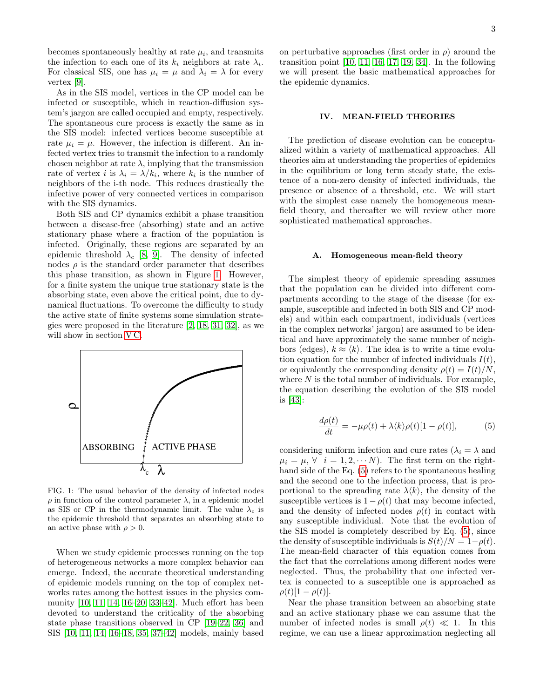becomes spontaneously healthy at rate  $\mu_i$ , and transmits the infection to each one of its  $k_i$  neighbors at rate  $\lambda_i$ . For classical SIS, one has  $\mu_i = \mu$  and  $\lambda_i = \lambda$  for every vertex [\[9\]](#page-13-0).

As in the SIS model, vertices in the CP model can be infected or susceptible, which in reaction-diffusion system's jargon are called occupied and empty, respectively. The spontaneous cure process is exactly the same as in the SIS model: infected vertices become susceptible at rate  $\mu_i = \mu$ . However, the infection is different. An infected vertex tries to transmit the infection to a randomly chosen neighbor at rate  $\lambda$ , implying that the transmission rate of vertex *i* is  $\lambda_i = \lambda/k_i$ , where  $k_i$  is the number of neighbors of the i-th node. This reduces drastically the infective power of very connected vertices in comparison with the SIS dynamics.

Both SIS and CP dynamics exhibit a phase transition between a disease-free (absorbing) state and an active stationary phase where a fraction of the population is infected. Originally, these regions are separated by an epidemic threshold  $\lambda_c$  [\[8,](#page-12-7) [9\]](#page-13-0). The density of infected nodes  $\rho$  is the standard order parameter that describes this phase transition, as shown in Figure [1.](#page-2-1) However, for a finite system the unique true stationary state is the absorbing state, even above the critical point, due to dynamical fluctuations. To overcome the difficulty to study the active state of finite systems some simulation strategies were proposed in the literature [\[2,](#page-12-1) [18,](#page-13-2) [31,](#page-13-11) [32\]](#page-13-12), as we will show in section VC.



<span id="page-2-1"></span>FIG. 1: The usual behavior of the density of infected nodes  $\rho$  in function of the control parameter  $\lambda$ , in a epidemic model as SIS or CP in the thermodynamic limit. The value  $\lambda_c$  is the epidemic threshold that separates an absorbing state to an active phase with  $\rho > 0$ .

When we study epidemic processes running on the top of heterogeneous networks a more complex behavior can emerge. Indeed, the accurate theoretical understanding of epidemic models running on the top of complex networks rates among the hottest issues in the physics community [\[10,](#page-13-1) [11,](#page-13-13) [14,](#page-13-14) [16–](#page-13-15)[20,](#page-13-16) [33–](#page-13-17)[42\]](#page-13-18). Much effort has been devoted to understand the criticality of the absorbing state phase transitions observed in CP [\[19–](#page-13-3)[22,](#page-13-19) [36\]](#page-13-20) and SIS [\[10,](#page-13-1) [11,](#page-13-13) [14,](#page-13-14) [16–](#page-13-15)[18,](#page-13-2) [35,](#page-13-21) [37–](#page-13-22)[42\]](#page-13-18) models, mainly based

on perturbative approaches (first order in  $\rho$ ) around the transition point [\[10,](#page-13-1) [11,](#page-13-13) [16,](#page-13-15) [17,](#page-13-23) [19,](#page-13-3) [34\]](#page-13-24). In the following we will present the basic mathematical approaches for the epidemic dynamics.

## <span id="page-2-0"></span>IV. MEAN-FIELD THEORIES

The prediction of disease evolution can be conceptualized within a variety of mathematical approaches. All theories aim at understanding the properties of epidemics in the equilibrium or long term steady state, the existence of a non-zero density of infected individuals, the presence or absence of a threshold, etc. We will start with the simplest case namely the homogeneous meanfield theory, and thereafter we will review other more sophisticated mathematical approaches.

#### A. Homogeneous mean-field theory

The simplest theory of epidemic spreading assumes that the population can be divided into different compartments according to the stage of the disease (for example, susceptible and infected in both SIS and CP models) and within each compartment, individuals (vertices in the complex networks' jargon) are assumed to be identical and have approximately the same number of neighbors (edges),  $k \approx \langle k \rangle$ . The idea is to write a time evolution equation for the number of infected individuals  $I(t)$ , or equivalently the corresponding density  $\rho(t) = I(t)/N$ , where  $N$  is the total number of individuals. For example, the equation describing the evolution of the SIS model is [\[43\]](#page-13-25):

<span id="page-2-2"></span>
$$
\frac{d\rho(t)}{dt} = -\mu\rho(t) + \lambda \langle k \rangle \rho(t)[1 - \rho(t)],\tag{5}
$$

considering uniform infection and cure rates ( $\lambda_i = \lambda$  and  $\mu_i = \mu, \forall i = 1, 2, \cdots N$ . The first term on the righthand side of the Eq. [\(5\)](#page-2-2) refers to the spontaneous healing and the second one to the infection process, that is proportional to the spreading rate  $\lambda \langle k \rangle$ , the density of the susceptible vertices is  $1-\rho(t)$  that may become infected, and the density of infected nodes  $\rho(t)$  in contact with any susceptible individual. Note that the evolution of the SIS model is completely described by Eq. [\(5\)](#page-2-2), since the density of susceptible individuals is  $S(t)/N = 1-\rho(t)$ . The mean-field character of this equation comes from the fact that the correlations among different nodes were neglected. Thus, the probability that one infected vertex is connected to a susceptible one is approached as  $\rho(t)[1 - \rho(t)].$ 

Near the phase transition between an absorbing state and an active stationary phase we can assume that the number of infected nodes is small  $\rho(t) \ll 1$ . In this regime, we can use a linear approximation neglecting all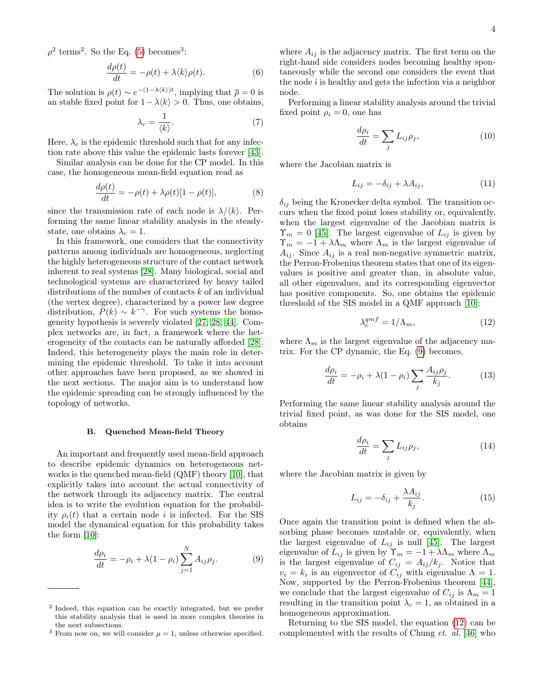$\rho^2$  terms<sup>2</sup>. So the Eq. [\(5\)](#page-2-2) becomes<sup>3</sup>:

$$
\frac{d\rho(t)}{dt} = -\rho(t) + \lambda \langle k \rangle \rho(t). \tag{6}
$$

The solution is  $\rho(t) \sim e^{-(1-\lambda \langle k \rangle)t}$ , implying that  $\bar{\rho} = 0$  is an stable fixed point for  $1-\lambda \langle k \rangle > 0$ . Thus, one obtains,

$$
\lambda_c = \frac{1}{\langle k \rangle}.\tag{7}
$$

Here,  $\lambda_c$  is the epidemic threshold such that for any infection rate above this value the epidemic lasts forever [\[43\]](#page-13-25).

Similar analysis can be done for the CP model. In this case, the homogeneous mean-field equation read as

$$
\frac{d\rho(t)}{dt} = -\rho(t) + \lambda \rho(t)[1 - \rho(t)],\tag{8}
$$

since the transmission rate of each node is  $\lambda/\langle k \rangle$ . Performing the same linear stability analysis in the steadystate, one obtains  $\lambda_c = 1$ .

In this framework, one considers that the connectivity patterns among individuals are homogeneous, neglecting the highly heterogeneous structure of the contact network inherent to real systems [\[28\]](#page-13-8). Many biological, social and technological systems are characterized by heavy tailed distributions of the number of contacts k of an individual (the vertex degree), characterized by a power law degree distribution,  $P(k) \sim k^{-\gamma}$ . For such systems the homogeneity hypothesis is severely violated [\[27,](#page-13-7) [28,](#page-13-8) [44\]](#page-13-26). Complex networks are, in fact, a framework where the heterogeneity of the contacts can be naturally afforded [\[28\]](#page-13-8). Indeed, this heterogeneity plays the main role in determining the epidemic threshold. To take it into account other approaches have been proposed, as we showed in the next sections. The major aim is to understand how the epidemic spreading can be strongly influenced by the topology of networks.

#### B. Quenched Mean-field Theory

An important and frequently used mean-field approach to describe epidemic dynamics on heterogeneous networks is the quenched mean-field (QMF) theory [\[10\]](#page-13-1), that explicitly takes into account the actual connectivity of the network through its adjacency matrix. The central idea is to write the evolution equation for the probability  $\rho_i(t)$  that a certain node i is infected. For the SIS model the dynamical equation for this probability takes the form [\[10\]](#page-13-1):

<span id="page-3-0"></span>
$$
\frac{d\rho_i}{dt} = -\rho_i + \lambda (1 - \rho_i) \sum_{j=1}^{N} A_{ij} \rho_j.
$$
 (9)

where  $A_{ij}$  is the adjacency matrix. The first term on the right-hand side considers nodes becoming healthy spontaneously while the second one considers the event that the node  $i$  is healthy and gets the infection via a neighbor node.

Performing a linear stability analysis around the trivial fixed point  $\rho_i = 0$ , one has

$$
\frac{d\rho_i}{dt} = \sum_j L_{ij}\rho_j,\tag{10}
$$

where the Jacobian matrix is

$$
L_{ij} = -\delta_{ij} + \lambda A_{ij},\tag{11}
$$

 $\delta_{ij}$  being the Kronecker delta symbol. The transition occurs when the fixed point loses stability or, equivalently, when the largest eigenvalue of the Jacobian matrix is  $\Upsilon_m = 0$  [\[45\]](#page-13-27). The largest eigenvalue of  $L_{ij}$  is given by  $\Upsilon_m = -1 + \lambda \Lambda_m$  where  $\Lambda_m$  is the largest eigenvalue of  $A_{ij}$ . Since  $A_{ij}$  is a real non-negative symmetric matrix, the Perron-Frobenius theorem states that one of its eigenvalues is positive and greater than, in absolute value, all other eigenvalues, and its corresponding eigenvector has positive components. So, one obtains the epidemic threshold of the SIS model in a QMF approach [\[10\]](#page-13-1):

<span id="page-3-1"></span>
$$
\lambda_c^{qmf} = 1/\Lambda_m,\tag{12}
$$

where  $\Lambda_m$  is the largest eigenvalue of the adjacency matrix. For the CP dynamic, the Eq. [\(9\)](#page-3-0) becomes,

$$
\frac{d\rho_i}{dt} = -\rho_i + \lambda(1 - \rho_i) \sum_j \frac{A_{ij}\rho_j}{k_j}.
$$
 (13)

Performing the same linear stability analysis around the trivial fixed point, as was done for the SIS model, one obtains

$$
\frac{d\rho_i}{dt} = \sum_j L_{ij}\rho_j,\tag{14}
$$

where the Jacobian matrix is given by

$$
L_{ij} = -\delta_{ij} + \frac{\lambda A_{ij}}{k_j}.\tag{15}
$$

Once again the transition point is defined when the absorbing phase becomes unstable or, equivalently, when the largest eigenvalue of  $L_{ij}$  is null [\[45\]](#page-13-27). The largest eigenvalue of  $L_{ij}$  is given by  $\Upsilon_m = -1 + \lambda \Lambda_m$  where  $\Lambda_m$ is the largest eigenvalue of  $C_{ij} = A_{ij}/k_j$ . Notice that  $v_i = k_i$  is an eigenvector of  $C_{ij}$  with eigenvalue  $\Lambda = 1$ . Now, supported by the Perron-Frobenius theorem [\[44\]](#page-13-26), we conclude that the largest eigenvalue of  $C_{ij}$  is  $\Lambda_m = 1$ resulting in the transition point  $\lambda_c = 1$ , as obtained in a homogeneous approximation.

Returning to the SIS model, the equation [\(12\)](#page-3-1) can be complemented with the results of Chung et. al. [\[46\]](#page-13-28) who

<sup>2</sup> Indeed, this equation can be exactly integrated, but we prefer this stability analysis that is used in more complex theories in the next subsections.

<sup>&</sup>lt;sup>3</sup> From now on, we will consider  $\mu = 1$ , unless otherwise specified.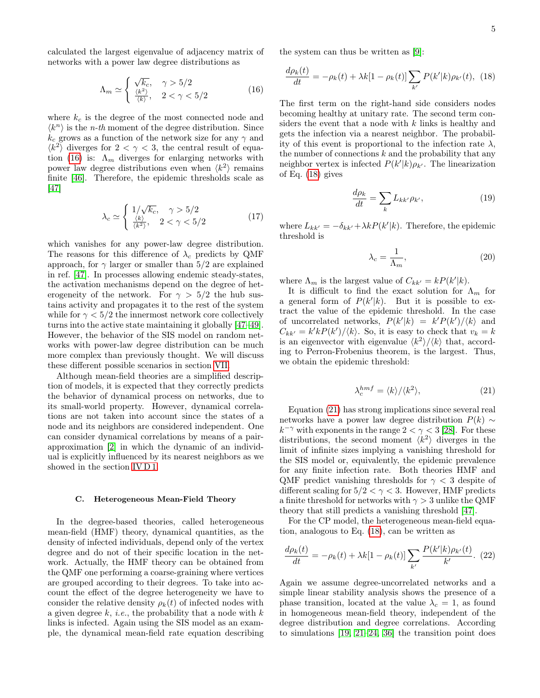calculated the largest eigenvalue of adjacency matrix of networks with a power law degree distributions as

<span id="page-4-0"></span>
$$
\Lambda_m \simeq \begin{cases} \sqrt{k_c}, & \gamma > 5/2\\ \frac{\langle k^2 \rangle}{\langle k \rangle}, & 2 < \gamma < 5/2 \end{cases} \tag{16}
$$

where  $k_c$  is the degree of the most connected node and  $\langle k^n \rangle$  is the *n-th* moment of the degree distribution. Since  $k_c$  grows as a function of the network size for any  $\gamma$  and  $\langle k^2 \rangle$  diverges for  $2 < \gamma < 3$ , the central result of equa-tion [\(16\)](#page-4-0) is:  $\Lambda_m$  diverges for enlarging networks with power law degree distributions even when  $\langle k^2 \rangle$  remains finite [\[46\]](#page-13-28). Therefore, the epidemic thresholds scale as [\[47\]](#page-13-29)

$$
\lambda_c \simeq \begin{cases} 1/\sqrt{k_c}, & \gamma > 5/2\\ \frac{\langle k \rangle}{\langle k^2 \rangle}, & 2 < \gamma < 5/2 \end{cases} \tag{17}
$$

which vanishes for any power-law degree distribution. The reasons for this difference of  $\lambda_c$  predicts by QMF approach, for  $\gamma$  larger or smaller than 5/2 are explained in ref. [\[47\]](#page-13-29). In processes allowing endemic steady-states, the activation mechanisms depend on the degree of heterogeneity of the network. For  $\gamma > 5/2$  the hub sustains activity and propagates it to the rest of the system while for  $\gamma < 5/2$  the innermost network core collectively turns into the active state maintaining it globally [\[47–](#page-13-29)[49\]](#page-13-30). However, the behavior of the SIS model on random networks with power-law degree distribution can be much more complex than previously thought. We will discuss these different possible scenarios in section [VII.](#page-11-0)

Although mean-field theories are a simplified description of models, it is expected that they correctly predicts the behavior of dynamical process on networks, due to its small-world property. However, dynamical correlations are not taken into account since the states of a node and its neighbors are considered independent. One can consider dynamical correlations by means of a pairapproximation [\[2\]](#page-12-1) in which the dynamic of an individual is explicitly influenced by its nearest neighbors as we showed in the section [IV D 1.](#page-5-0)

#### C. Heterogeneous Mean-Field Theory

In the degree-based theories, called heterogeneous mean-field (HMF) theory, dynamical quantities, as the density of infected individuals, depend only of the vertex degree and do not of their specific location in the network. Actually, the HMF theory can be obtained from the QMF one performing a coarse-graining where vertices are grouped according to their degrees. To take into account the effect of the degree heterogeneity we have to consider the relative density  $\rho_k(t)$  of infected nodes with a given degree  $k$ , *i.e.*, the probability that a node with  $k$ links is infected. Again using the SIS model as an example, the dynamical mean-field rate equation describing

the system can thus be written as [\[9\]](#page-13-0):

<span id="page-4-1"></span>
$$
\frac{d\rho_k(t)}{dt} = -\rho_k(t) + \lambda k[1 - \rho_k(t)] \sum_{k'} P(k'|k)\rho_{k'}(t), \tag{18}
$$

The first term on the right-hand side considers nodes becoming healthy at unitary rate. The second term considers the event that a node with  $k$  links is healthy and gets the infection via a nearest neighbor. The probability of this event is proportional to the infection rate  $\lambda$ , the number of connections  $k$  and the probability that any neighbor vertex is infected  $P(k'|k)\rho_{k'}$ . The linearization of Eq. [\(18\)](#page-4-1) gives

$$
\frac{d\rho_k}{dt} = \sum_k L_{kk'} \rho_{k'},\tag{19}
$$

where  $L_{kk'} = -\delta_{kk'} + \lambda k P(k'|k)$ . Therefore, the epidemic threshold is

$$
\lambda_c = \frac{1}{\Lambda_m},\tag{20}
$$

where  $\Lambda_m$  is the largest value of  $C_{kk'} = kP(k'|k)$ .

It is difficult to find the exact solution for  $\Lambda_m$  for a general form of  $P(k'|k)$ . But it is possible to extract the value of the epidemic threshold. In the case of uncorrelated networks,  $P(k'|k) = k'P(k')/\langle k \rangle$  and  $C_{kk'} = k'kP(k')/\langle k \rangle$ . So, it is easy to check that  $v_k = k$ is an eigenvector with eigenvalue  $\langle k^2 \rangle / \langle k \rangle$  that, according to Perron-Frobenius theorem, is the largest. Thus, we obtain the epidemic threshold:

<span id="page-4-2"></span>
$$
\lambda_c^{hmf} = \langle k \rangle / \langle k^2 \rangle,\tag{21}
$$

Equation [\(21\)](#page-4-2) has strong implications since several real networks have a power law degree distribution  $P(k) \sim$  $k^{-\gamma}$  with exponents in the range  $2 < \gamma < 3$  [\[28\]](#page-13-8). For these distributions, the second moment  $\langle k^2 \rangle$  diverges in the limit of infinite sizes implying a vanishing threshold for the SIS model or, equivalently, the epidemic prevalence for any finite infection rate. Both theories HMF and QMF predict vanishing thresholds for  $\gamma < 3$  despite of different scaling for  $5/2 < \gamma < 3$ . However, HMF predicts a finite threshold for networks with  $\gamma > 3$  unlike the QMF theory that still predicts a vanishing threshold [\[47\]](#page-13-29).

For the CP model, the heterogeneous mean-field equation, analogous to Eq. [\(18\)](#page-4-1), can be written as

<span id="page-4-3"></span>
$$
\frac{d\rho_k(t)}{dt} = -\rho_k(t) + \lambda k[1 - \rho_k(t)] \sum_{k'} \frac{P(k'|k)\rho_{k'}(t)}{k'}.
$$
 (22)

Again we assume degree-uncorrelated networks and a simple linear stability analysis shows the presence of a phase transition, located at the value  $\lambda_c = 1$ , as found in homogeneous mean-field theory, independent of the degree distribution and degree correlations. According to simulations [\[19,](#page-13-3) [21–](#page-13-31)[24,](#page-13-4) [36\]](#page-13-20) the transition point does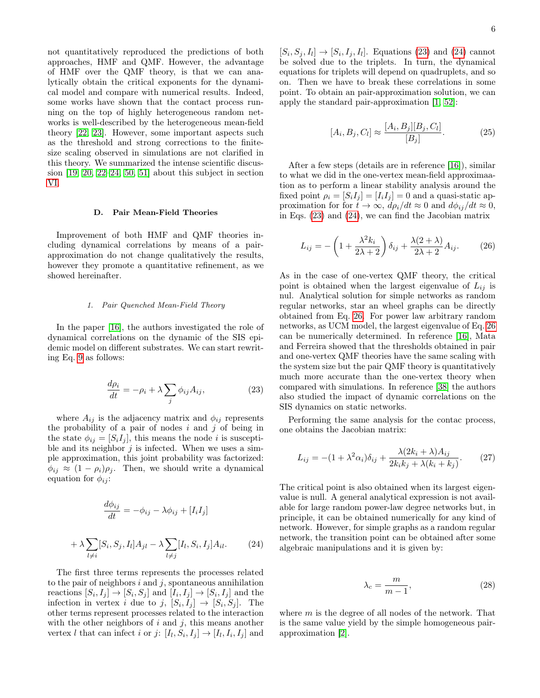not quantitatively reproduced the predictions of both approaches, HMF and QMF. However, the advantage of HMF over the QMF theory, is that we can analytically obtain the critical exponents for the dynamical model and compare with numerical results. Indeed, some works have shown that the contact process running on the top of highly heterogeneous random networks is well-described by the heterogeneous mean-field theory [\[22,](#page-13-19) [23\]](#page-13-32). However, some important aspects such as the threshold and strong corrections to the finitesize scaling observed in simulations are not clarified in this theory. We summarized the intense scientific discussion [\[19,](#page-13-3) [20,](#page-13-16) [22–](#page-13-19)[24,](#page-13-4) [50,](#page-13-33) [51\]](#page-13-34) about this subject in section [VI.](#page-9-0)

## D. Pair Mean-Field Theories

Improvement of both HMF and QMF theories including dynamical correlations by means of a pairapproximation do not change qualitatively the results, however they promote a quantitative refinement, as we showed hereinafter.

## <span id="page-5-0"></span>1. Pair Quenched Mean-Field Theory

In the paper [\[16\]](#page-13-15), the authors investigated the role of dynamical correlations on the dynamic of the SIS epidemic model on different substrates. We can start rewriting Eq. [9](#page-3-0) as follows:

<span id="page-5-1"></span>
$$
\frac{d\rho_i}{dt} = -\rho_i + \lambda \sum_j \phi_{ij} A_{ij},\tag{23}
$$

where  $A_{ij}$  is the adjacency matrix and  $\phi_{ij}$  represents the probability of a pair of nodes  $i$  and  $j$  of being in the state  $\phi_{ij} = [S_i I_j]$ , this means the node *i* is susceptible and its neighbor  $j$  is infected. When we uses a simple approximation, this joint probability was factorized:  $\phi_{ij} \approx (1 - \rho_i) \rho_j$ . Then, we should write a dynamical equation for  $\phi_{ij}$ :

<span id="page-5-2"></span>
$$
\frac{d\phi_{ij}}{dt} = -\phi_{ij} - \lambda \phi_{ij} + [I_i I_j]
$$

$$
\lambda \sum_{l \neq i} [S_i, S_j, I_l] A_{jl} - \lambda \sum_{l \neq j} [I_l, S_i, I_j] A_{il}.
$$
(24)

The first three terms represents the processes related to the pair of neighbors  $i$  and  $j$ , spontaneous annihilation reactions  $[S_i, I_j] \to [S_i, S_j]$  and  $[I_i, I_j] \to [S_i, I_j]$  and the infection in vertex *i* due to *j*,  $[S_i, I_j] \rightarrow [S_i, S_j]$ . The other terms represent processes related to the interaction with the other neighbors of  $i$  and  $j$ , this means another vertex l that can infect i or j:  $[I_l, S_i, I_j] \rightarrow [I_l, I_i, I_j]$  and

 $+$ 

 $[S_i, S_j, I_l] \rightarrow [S_i, I_j, I_l]$ . Equations [\(23\)](#page-5-1) and [\(24\)](#page-5-2) cannot be solved due to the triplets. In turn, the dynamical equations for triplets will depend on quadruplets, and so on. Then we have to break these correlations in some point. To obtain an pair-approximation solution, we can apply the standard pair-approximation [\[1,](#page-12-0) [52\]](#page-13-35):

$$
[A_i, B_j, C_l] \approx \frac{[A_i, B_j][B_j, C_l]}{[B_j]}.
$$
 (25)

After a few steps (details are in reference [\[16\]](#page-13-15)), similar to what we did in the one-vertex mean-field approximaation as to perform a linear stability analysis around the fixed point  $\rho_i = [S_i I_j] = [I_i I_j] = 0$  and a quasi-static approximation for for  $t \to \infty$ ,  $d\rho_i/dt \approx 0$  and  $d\phi_{ij}/dt \approx 0$ , in Eqs. [\(23\)](#page-5-1) and [\(24\)](#page-5-2), we can find the Jacobian matrix

<span id="page-5-3"></span>
$$
L_{ij} = -\left(1 + \frac{\lambda^2 k_i}{2\lambda + 2}\right)\delta_{ij} + \frac{\lambda(2+\lambda)}{2\lambda + 2}A_{ij}.
$$
 (26)

As in the case of one-vertex QMF theory, the critical point is obtained when the largest eigenvalue of  $L_{ij}$  is nul. Analytical solution for simple networks as random regular networks, star an wheel graphs can be directly obtained from Eq. [26.](#page-5-3) For power law arbitrary random networks, as UCM model, the largest eigenvalue of Eq. [26](#page-5-3) can be numerically determined. In reference [\[16\]](#page-13-15), Mata and Ferreira showed that the thresholds obtained in pair and one-vertex QMF theories have the same scaling with the system size but the pair QMF theory is quantitatively much more accurate than the one-vertex theory when compared with simulations. In reference [\[38\]](#page-13-36) the authors also studied the impact of dynamic correlations on the SIS dynamics on static networks.

Performing the same analysis for the contac process, one obtains the Jacobian matrix:

$$
L_{ij} = -(1 + \lambda^2 \alpha_i) \delta_{ij} + \frac{\lambda (2k_i + \lambda) A_{ij}}{2k_i k_j + \lambda (k_i + k_j)}.
$$
 (27)

The critical point is also obtained when its largest eigenvalue is null. A general analytical expression is not available for large random power-law degree networks but, in principle, it can be obtained numerically for any kind of network. However, for simple graphs as a random regular network, the transition point can be obtained after some algebraic manipulations and it is given by:

$$
\lambda_c = \frac{m}{m-1},\tag{28}
$$

where  $m$  is the degree of all nodes of the network. That is the same value yield by the simple homogeneous pairapproximation [\[2\]](#page-12-1).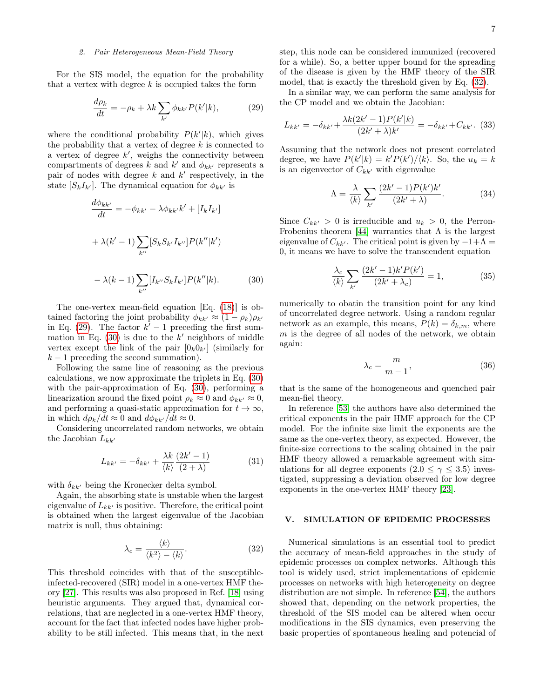## 2. Pair Heterogeneous Mean-Field Theory

For the SIS model, the equation for the probability that a vertex with degree  $k$  is occupied takes the form

<span id="page-6-1"></span>
$$
\frac{d\rho_k}{dt} = -\rho_k + \lambda k \sum_{k'} \phi_{kk'} P(k'|k),\tag{29}
$$

where the conditional probability  $P(k'|k)$ , which gives the probability that a vertex of degree  $k$  is connected to a vertex of degree  $k'$ , weighs the connectivity between compartments of degrees  $k$  and  $k'$  and  $\phi_{kk'}$  represents a pair of nodes with degree  $k$  and  $k'$  respectively, in the state  $[S_k I_{k'}]$ . The dynamical equation for  $\phi_{kk'}$  is

<span id="page-6-2"></span>
$$
\frac{d\phi_{kk'}}{dt} = -\phi_{kk'} - \lambda \phi_{kk'} k' + [I_k I_{k'}]
$$

$$
+ \lambda (k' - 1) \sum_{k''} [S_k S_{k'} I_{k''}] P(k'' | k')
$$

$$
- \lambda (k - 1) \sum_{k''} [I_{k''} S_k I_{k'}] P(k'' | k).
$$
(30)

The one-vertex mean-field equation [Eq. [\(18\)](#page-4-1)] is obtained factoring the joint probability  $\phi_{kk'} \approx (1 - \rho_k)\rho_{k'}$ in Eq. [\(29\)](#page-6-1). The factor  $k' - 1$  preceding the first summation in Eq.  $(30)$  is due to the k' neighbors of middle vertex except the link of the pair  $[0_k 0_{k'}]$  (similarly for  $k-1$  preceding the second summation).

Following the same line of reasoning as the previous calculations, we now approximate the triplets in Eq. [\(30\)](#page-6-2) with the pair-approximation of Eq. [\(30\)](#page-6-2), performing a linearization around the fixed point  $\rho_k \approx 0$  and  $\phi_{kk'} \approx 0$ , and performing a quasi-static approximation for  $t \to \infty$ , in which  $d\rho_k/dt \approx 0$  and  $d\phi_{kk'}/dt \approx 0$ .

Considering uncorrelated random networks, we obtain the Jacobian  $L_{kk'}$ 

$$
L_{kk'} = -\delta_{kk'} + \frac{\lambda k}{\langle k \rangle} \frac{(2k'-1)}{(2+\lambda)} \tag{31}
$$

with  $\delta_{kk'}$  being the Kronecker delta symbol.

Again, the absorbing state is unstable when the largest eigenvalue of  $L_{kk'}$  is positive. Therefore, the critical point is obtained when the largest eigenvalue of the Jacobian matrix is null, thus obtaining:

<span id="page-6-3"></span>
$$
\lambda_c = \frac{\langle k \rangle}{\langle k^2 \rangle - \langle k \rangle}.
$$
\n(32)

This threshold coincides with that of the susceptibleinfected-recovered (SIR) model in a one-vertex HMF theory [\[27\]](#page-13-7). This results was also proposed in Ref. [\[18\]](#page-13-2) using heuristic arguments. They argued that, dynamical correlations, that are neglected in a one-vertex HMF theory, account for the fact that infected nodes have higher probability to be still infected. This means that, in the next step, this node can be considered immunized (recovered for a while). So, a better upper bound for the spreading of the disease is given by the HMF theory of the SIR model, that is exactly the threshold given by Eq. [\(32\)](#page-6-3).

In a similar way, we can perform the same analysis for the CP model and we obtain the Jacobian:

$$
L_{kk'} = -\delta_{kk'} + \frac{\lambda k (2k' - 1) P(k'|k)}{(2k' + \lambda)k'} = -\delta_{kk'} + C_{kk'}.
$$
 (33)

Assuming that the network does not present correlated degree, we have  $P(k'|k) = k' P(k') / \langle k \rangle$ . So, the  $u_k = k$ is an eigenvector of  $C_{kk'}$  with eigenvalue

$$
\Lambda = \frac{\lambda}{\langle k \rangle} \sum_{k'} \frac{(2k'-1)P(k')k'}{(2k'+\lambda)}.
$$
 (34)

Since  $C_{kk'} > 0$  is irreducible and  $u_k > 0$ , the Perron-Frobenius theorem [\[44\]](#page-13-26) warranties that  $\Lambda$  is the largest eigenvalue of  $C_{kk'}$ . The critical point is given by  $-1+\Lambda =$ 0, it means we have to solve the transcendent equation

$$
\frac{\lambda_c}{\langle k \rangle} \sum_{k'} \frac{(2k'-1)k'P(k')}{(2k'+\lambda_c)} = 1,\tag{35}
$$

numerically to obatin the transition point for any kind of uncorrelated degree network. Using a random regular network as an example, this means,  $P(k) = \delta_{k,m}$ , where  $m$  is the degree of all nodes of the network, we obtain again:

$$
\lambda_c = \frac{m}{m-1},\tag{36}
$$

that is the same of the homogeneous and quenched pair mean-fiel theory.

In reference [\[53\]](#page-13-37) the authors have also determined the critical exponents in the pair HMF approach for the CP model. For the infinite size limit the exponents are the same as the one-vertex theory, as expected. However, the finite-size corrections to the scaling obtained in the pair HMF theory allowed a remarkable agreement with simulations for all degree exponents  $(2.0 \le \gamma \le 3.5)$  investigated, suppressing a deviation observed for low degree exponents in the one-vertex HMF theory [\[23\]](#page-13-32).

# <span id="page-6-0"></span>V. SIMULATION OF EPIDEMIC PROCESSES

Numerical simulations is an essential tool to predict the accuracy of mean-field approaches in the study of epidemic processes on complex networks. Although this tool is widely used, strict implementations of epidemic processes on networks with high heterogeneity on degree distribution are not simple. In reference [\[54\]](#page-13-38), the authors showed that, depending on the network properties, the threshold of the SIS model can be altered when occur modifications in the SIS dynamics, even preserving the basic properties of spontaneous healing and potencial of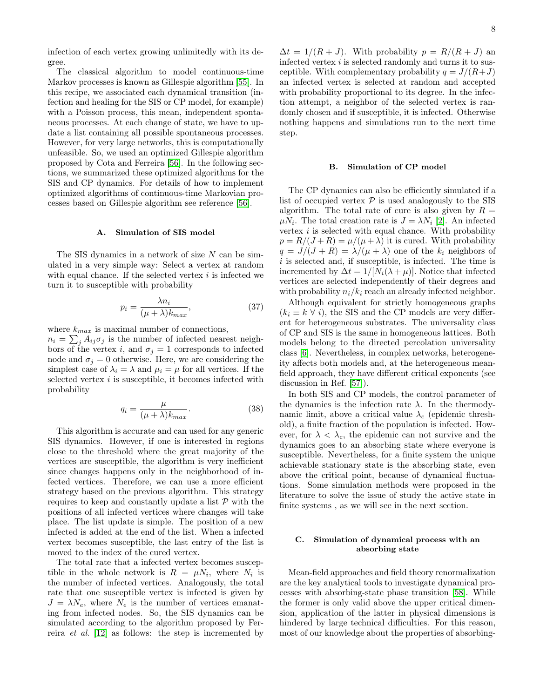infection of each vertex growing unlimitedly with its degree.

The classical algorithm to model continuous-time Markov processes is known as Gillespie algorithm [\[55\]](#page-13-39). In this recipe, we associated each dynamical transition (infection and healing for the SIS or CP model, for example) with a Poisson process, this mean, independent spontaneous processes. At each change of state, we have to update a list containing all possible spontaneous processes. However, for very large networks, this is computationally unfeasible. So, we used an optimized Gillespie algorithm proposed by Cota and Ferreira [\[56\]](#page-13-40). In the following sections, we summarized these optimized algorithms for the SIS and CP dynamics. For details of how to implement optimized algorithms of continuous-time Markovian processes based on Gillespie algorithm see reference [\[56\]](#page-13-40).

## A. Simulation of SIS model

The SIS dynamics in a network of size N can be simulated in a very simple way: Select a vertex at random with equal chance. If the selected vertex  $i$  is infected we turn it to susceptible with probability

$$
p_i = \frac{\lambda n_i}{(\mu + \lambda)k_{max}},\tag{37}
$$

where  $k_{max}$  is maximal number of connections,  $n_i = \sum_j A_{ij} \sigma_j$  is the number of infected nearest neighbors of the vertex i, and  $\sigma_j = 1$  corresponds to infected node and  $\sigma_i = 0$  otherwise. Here, we are considering the simplest case of  $\lambda_i = \lambda$  and  $\mu_i = \mu$  for all vertices. If the selected vertex  $i$  is susceptible, it becomes infected with probability

$$
q_i = \frac{\mu}{(\mu + \lambda)k_{max}}.\tag{38}
$$

This algorithm is accurate and can used for any generic SIS dynamics. However, if one is interested in regions close to the threshold where the great majority of the vertices are susceptible, the algorithm is very inefficient since changes happens only in the neighborhood of infected vertices. Therefore, we can use a more efficient strategy based on the previous algorithm. This strategy requires to keep and constantly update a list  $P$  with the positions of all infected vertices where changes will take place. The list update is simple. The position of a new infected is added at the end of the list. When a infected vertex becomes susceptible, the last entry of the list is moved to the index of the cured vertex.

The total rate that a infected vertex becomes susceptible in the whole network is  $R = \mu N_i$ , where  $N_i$  is the number of infected vertices. Analogously, the total rate that one susceptible vertex is infected is given by  $J = \lambda N_e$ , where  $N_e$  is the number of vertices emanating from infected nodes. So, the SIS dynamics can be simulated according to the algorithm proposed by Ferreira et al. [\[12\]](#page-13-41) as follows: the step is incremented by

 $\Delta t = 1/(R + J)$ . With probability  $p = R/(R + J)$  and infected vertex  $i$  is selected randomly and turns it to susceptible. With complementary probability  $q = J/(R+J)$ an infected vertex is selected at random and accepted with probability proportional to its degree. In the infection attempt, a neighbor of the selected vertex is randomly chosen and if susceptible, it is infected. Otherwise nothing happens and simulations run to the next time step.

#### B. Simulation of CP model

The CP dynamics can also be efficiently simulated if a list of occupied vertex  $P$  is used analogously to the SIS algorithm. The total rate of cure is also given by  $R =$  $\mu N_i$ . The total creation rate is  $J = \lambda N_i$  [\[2\]](#page-12-1). An infected vertex  $i$  is selected with equal chance. With probability  $p = R/(J+R) = \mu/(\mu+\lambda)$  it is cured. With probability  $q = J/(J + R) = \lambda/(\mu + \lambda)$  one of the  $k_i$  neighbors of  $i$  is selected and, if susceptible, is infected. The time is incremented by  $\Delta t = 1/[N_i(\lambda + \mu)]$ . Notice that infected vertices are selected independently of their degrees and with probability  $n_i/k_i$  reach an already infected neighbor.

Although equivalent for strictly homogeneous graphs  $(k_i \equiv k \ \forall i)$ , the SIS and the CP models are very different for heterogeneous substrates. The universality class of CP and SIS is the same in homogeneous lattices. Both models belong to the directed percolation universality class [\[6\]](#page-12-5). Nevertheless, in complex networks, heterogeneity affects both models and, at the heterogeneous meanfield approach, they have different critical exponents (see discussion in Ref. [\[57\]](#page-13-42)).

In both SIS and CP models, the control parameter of the dynamics is the infection rate  $\lambda$ . In the thermodynamic limit, above a critical value  $\lambda_c$  (epidemic threshold), a finite fraction of the population is infected. However, for  $\lambda < \lambda_c$ , the epidemic can not survive and the dynamics goes to an absorbing state where everyone is susceptible. Nevertheless, for a finite system the unique achievable stationary state is the absorbing state, even above the critical point, because of dynamical fluctuations. Some simulation methods were proposed in the literature to solve the issue of study the active state in finite systems , as we will see in the next section.

# <span id="page-7-0"></span>C. Simulation of dynamical process with an absorbing state

Mean-field approaches and field theory renormalization are the key analytical tools to investigate dynamical processes with absorbing-state phase transition [\[58\]](#page-13-43). While the former is only valid above the upper critical dimension, application of the latter in physical dimensions is hindered by large technical difficulties. For this reason, most of our knowledge about the properties of absorbing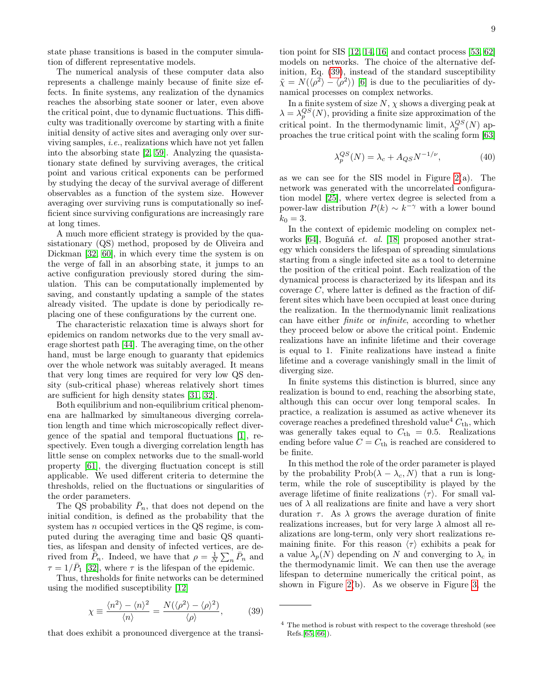state phase transitions is based in the computer simulation of different representative models.

The numerical analysis of these computer data also represents a challenge mainly because of finite size effects. In finite systems, any realization of the dynamics reaches the absorbing state sooner or later, even above the critical point, due to dynamic fluctuations. This difficulty was traditionally overcome by starting with a finite initial density of active sites and averaging only over surviving samples, i.e., realizations which have not yet fallen into the absorbing state [\[2,](#page-12-1) [59\]](#page-13-44). Analyzing the quasistationary state defined by surviving averages, the critical point and various critical exponents can be performed by studying the decay of the survival average of different observables as a function of the system size. However averaging over surviving runs is computationally so inefficient since surviving configurations are increasingly rare at long times.

A much more efficient strategy is provided by the quasistationary (QS) method, proposed by de Oliveira and Dickman [\[32,](#page-13-12) [60\]](#page-13-45), in which every time the system is on the verge of fall in an absorbing state, it jumps to an active configuration previously stored during the simulation. This can be computationally implemented by saving, and constantly updating a sample of the states already visited. The update is done by periodically replacing one of these configurations by the current one.

The characteristic relaxation time is always short for epidemics on random networks due to the very small average shortest path [\[44\]](#page-13-26). The averaging time, on the other hand, must be large enough to guaranty that epidemics over the whole network was suitably averaged. It means that very long times are required for very low QS density (sub-critical phase) whereas relatively short times are sufficient for high density states [\[31,](#page-13-11) [32\]](#page-13-12).

Both equilibrium and non-equilibrium critical phenomena are hallmarked by simultaneous diverging correlation length and time which microscopically reflect divergence of the spatial and temporal fluctuations [\[1\]](#page-12-0), respectively. Even tough a diverging correlation length has little sense on complex networks due to the small-world property [\[61\]](#page-13-46), the diverging fluctuation concept is still applicable. We used different criteria to determine the thresholds, relied on the fluctuations or singularities of the order parameters.

The QS probability  $\bar{P}_n$ , that does not depend on the initial condition, is defined as the probability that the system has n occupied vertices in the QS regime, is computed during the averaging time and basic QS quantities, as lifespan and density of infected vertices, are derived from  $\bar{P}_n$ . Indeed, we have that  $\rho = \frac{1}{N} \sum_n \bar{P}_n$  and  $\tau = 1/\bar{P}_1$  [\[32\]](#page-13-12), where  $\tau$  is the lifespan of the epidemic.

Thus, thresholds for finite networks can be determined using the modified susceptibility [\[12\]](#page-13-41)

<span id="page-8-0"></span>
$$
\chi \equiv \frac{\langle n^2 \rangle - \langle n \rangle^2}{\langle n \rangle} = \frac{N(\langle \rho^2 \rangle - \langle \rho \rangle^2)}{\langle \rho \rangle},\tag{39}
$$

that does exhibit a pronounced divergence at the transi-

tion point for SIS [\[12,](#page-13-41) [14,](#page-13-14) [16\]](#page-13-15) and contact process [\[53,](#page-13-37) [62\]](#page-13-47) models on networks. The choice of the alternative definition, Eq. [\(39\)](#page-8-0), instead of the standard susceptibility  $\tilde{\chi} = N(\langle \rho^2 \rangle - \langle \rho^2 \rangle)$  [\[6\]](#page-12-5) is due to the peculiarities of dynamical processes on complex networks.

In a finite system of size  $N$ ,  $\chi$  shows a diverging peak at  $\lambda = \lambda_p^{QS}(N)$ , providing a finite size approximation of the critical point. In the thermodynamic limit,  $\lambda_p^{QS}(N)$  approaches the true critical point with the scaling form [\[63\]](#page-13-48)

$$
\lambda_p^{QS}(N) = \lambda_c + A_{QS} N^{-1/\nu},\tag{40}
$$

as we can see for the SIS model in Figure [2\(](#page-9-1)a). The network was generated with the uncorrelated configuration model [\[25\]](#page-13-5), where vertex degree is selected from a power-law distribution  $P(k) \sim k^{-\gamma}$  with a lower bound  $k_0 = 3$ .

In the context of epidemic modeling on complex networks [\[64\]](#page-13-49), Boguñá et. al. [\[18\]](#page-13-2) proposed another strategy which considers the lifespan of spreading simulations starting from a single infected site as a tool to determine the position of the critical point. Each realization of the dynamical process is characterized by its lifespan and its coverage  $C$ , where latter is defined as the fraction of different sites which have been occupied at least once during the realization. In the thermodynamic limit realizations can have either finite or infinite, according to whether they proceed below or above the critical point. Endemic realizations have an infinite lifetime and their coverage is equal to 1. Finite realizations have instead a finite lifetime and a coverage vanishingly small in the limit of diverging size.

In finite systems this distinction is blurred, since any realization is bound to end, reaching the absorbing state, although this can occur over long temporal scales. In practice, a realization is assumed as active whenever its coverage reaches a predefined threshold value<sup>4</sup>  $C_{\text{th}}$ , which was generally takes equal to  $C_{\text{th}} = 0.5$ . Realizations ending before value  $C = C_{th}$  is reached are considered to be finite.

In this method the role of the order parameter is played by the probability  $\text{Prob}(\lambda - \lambda_c, N)$  that a run is longterm, while the role of susceptibility is played by the average lifetime of finite realizations  $\langle \tau \rangle$ . For small values of  $\lambda$  all realizations are finite and have a very short duration  $\tau$ . As  $\lambda$  grows the average duration of finite realizations increases, but for very large  $\lambda$  almost all realizations are long-term, only very short realizations remaining finite. For this reason  $\langle \tau \rangle$  exhibits a peak for a value  $\lambda_p(N)$  depending on N and converging to  $\lambda_c$  in the thermodynamic limit. We can then use the average lifespan to determine numerically the critical point, as shown in Figure [2\(](#page-9-1)b). As we observe in Figure [3,](#page-9-2) the

<sup>4</sup> The method is robust with respect to the coverage threshold (see Refs.[\[65,](#page-13-50) [66\]](#page-13-51)).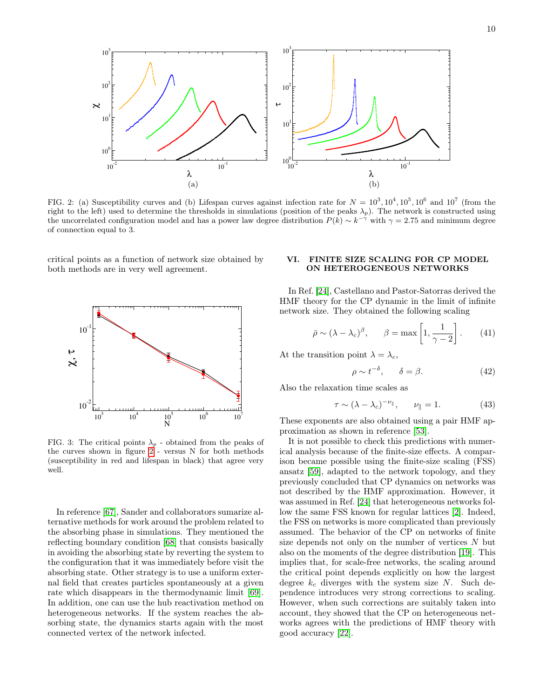

<span id="page-9-1"></span>FIG. 2: (a) Susceptibility curves and (b) Lifespan curves against infection rate for  $N = 10^3, 10^4, 10^5, 10^6$  and  $10^7$  (from the right to the left) used to determine the thresholds in simulations (position of the peaks  $\lambda_p$ ). The network is constructed using the uncorrelated configuration model and has a power law degree distribution  $P(k) \sim k^{-\gamma}$  with  $\gamma = 2.75$  and minimum degree of connection equal to 3.

critical points as a function of network size obtained by both methods are in very well agreement.



<span id="page-9-2"></span>FIG. 3: The critical points  $\lambda_p$  - obtained from the peaks of the curves shown in figure [2](#page-9-1) - versus N for both methods (susceptibility in red and lifespan in black) that agree very well.

In reference [\[67\]](#page-13-52), Sander and collaborators sumarize alternative methods for work around the problem related to the absorbing phase in simulations. They mentioned the reflecting boundary condition [\[68\]](#page-13-53) that consists basically in avoiding the absorbing state by reverting the system to the configuration that it was immediately before visit the absorbing state. Other strategy is to use a uniform external field that creates particles spontaneously at a given rate which disappears in the thermodynamic limit [\[69\]](#page-13-54). In addition, one can use the hub reactivation method on heterogeneous networks. If the system reaches the absorbing state, the dynamics starts again with the most connected vertex of the network infected.

# <span id="page-9-0"></span>VI. FINITE SIZE SCALING FOR CP MODEL ON HETEROGENEOUS NETWORKS

In Ref. [\[24\]](#page-13-4), Castellano and Pastor-Satorras derived the HMF theory for the CP dynamic in the limit of infinite network size. They obtained the following scaling

$$
\bar{\rho} \sim (\lambda - \lambda_c)^{\beta}, \qquad \beta = \max\left[1, \frac{1}{\gamma - 2}\right]. \tag{41}
$$

At the transition point  $\lambda = \lambda_c$ ,

$$
\rho \sim t^{-\delta}, \qquad \delta = \beta. \tag{42}
$$

Also the relaxation time scales as

$$
\tau \sim (\lambda - \lambda_c)^{-\nu_{\parallel}}, \qquad \nu_{\parallel} = 1. \tag{43}
$$

These exponents are also obtained using a pair HMF approximation as shown in reference [\[53\]](#page-13-37).

It is not possible to check this predictions with numerical analysis because of the finite-size effects. A comparison became possible using the finite-size scaling (FSS) ansatz [\[59\]](#page-13-44), adapted to the network topology, and they previously concluded that CP dynamics on networks was not described by the HMF approximation. However, it was assumed in Ref. [\[24\]](#page-13-4) that heterogeneous networks follow the same FSS known for regular lattices [\[2\]](#page-12-1). Indeed, the FSS on networks is more complicated than previously assumed. The behavior of the CP on networks of finite size depends not only on the number of vertices  $N$  but also on the moments of the degree distribution [\[19\]](#page-13-3). This implies that, for scale-free networks, the scaling around the critical point depends explicitly on how the largest degree  $k_c$  diverges with the system size N. Such dependence introduces very strong corrections to scaling. However, when such corrections are suitably taken into account, they showed that the CP on heterogeneous networks agrees with the predictions of HMF theory with good accuracy [\[22\]](#page-13-19).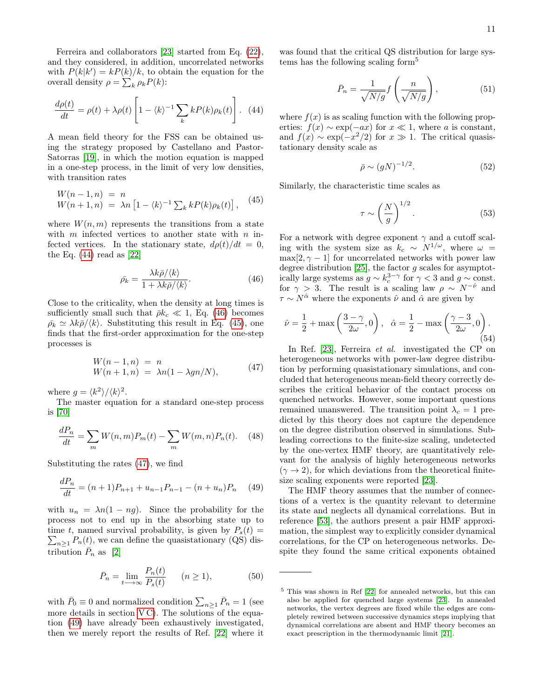Ferreira and collaborators [\[23\]](#page-13-32) started from Eq. [\(22\)](#page-4-3), and they considered, in addition, uncorrelated networks with  $P(k|k') = kP(k)/k$ , to obtain the equation for the overall density  $\rho = \sum_{k} \rho_k P(k)$ :

<span id="page-10-0"></span>
$$
\frac{d\rho(t)}{dt} = \rho(t) + \lambda \rho(t) \left[ 1 - \langle k \rangle^{-1} \sum_{k} k P(k) \rho_k(t) \right]. \tag{44}
$$

A mean field theory for the FSS can be obtained using the strategy proposed by Castellano and Pastor-Satorras [\[19\]](#page-13-3), in which the motion equation is mapped in a one-step process, in the limit of very low densities, with transition rates

<span id="page-10-2"></span>
$$
W(n-1,n) = n
$$
  
 
$$
W(n+1,n) = \lambda n \left[1 - \langle k \rangle^{-1} \sum_{k} k P(k) \rho_k(t) \right],
$$
 (45)

where  $W(n, m)$  represents the transitions from a state with  $m$  infected vertices to another state with  $n$  infected vertices. In the stationary state,  $d\rho(t)/dt = 0$ , the Eq.  $(44)$  read as  $[22]$ 

<span id="page-10-1"></span>
$$
\bar{\rho_k} = \frac{\lambda k \bar{\rho} / \langle k \rangle}{1 + \lambda k \bar{\rho} / \langle k \rangle}.
$$
\n(46)

Close to the criticality, when the density at long times is sufficiently small such that  $\bar{\rho}k_c \ll 1$ , Eq. [\(46\)](#page-10-1) becomes  $\bar{\rho_k} \simeq \lambda k \bar{\rho}/\langle k \rangle$ . Substituting this result in Eq. [\(45\)](#page-10-2), one finds that the first-order approximation for the one-step processes is

<span id="page-10-3"></span>
$$
W(n-1,n) = n
$$
  
 
$$
W(n+1,n) = \lambda n(1 - \lambda g n/N),
$$
 (47)

where  $g = \langle k^2 \rangle / \langle k \rangle^2$ .

The master equation for a standard one-step process is [\[70\]](#page-13-55)

$$
\frac{dP_n}{dt} = \sum_m W(n,m)P_m(t) - \sum_m W(m,n)P_n(t). \quad (48)
$$

Substituting the rates [\(47\)](#page-10-3), we find

<span id="page-10-4"></span>
$$
\frac{dP_n}{dt} = (n+1)P_{n+1} + u_{n-1}P_{n-1} - (n+u_n)P_n \quad (49)
$$

with  $u_n = \lambda n(1 - ng)$ . Since the probability for the process not to end up in the absorbing state up to time t, named survival probability, is given by  $P_s(t) =$  $\sum_{n\geq 1} P_n(t)$ , we can define the quasistationary (QS) distribution  $\bar{P}_n$  as [\[2\]](#page-12-1)

$$
\bar{P}_n = \lim_{t \to \infty} \frac{P_n(t)}{P_s(t)} \qquad (n \ge 1), \tag{50}
$$

with  $\bar{P}_0 \equiv 0$  and normalized condition  $\sum_{n \geq 1} \bar{P}_n = 1$  (see more details in section  $VC$ ). The solutions of the equation [\(49\)](#page-10-4) have already been exhaustively investigated, then we merely report the results of Ref. [\[22\]](#page-13-19) where it

was found that the critical QS distribution for large systems has the following scaling form<sup>5</sup>

$$
\bar{P}_n = \frac{1}{\sqrt{N/g}} f\left(\frac{n}{\sqrt{N/g}}\right),\tag{51}
$$

where  $f(x)$  is as scaling function with the following properties:  $f(x) \sim \exp(-ax)$  for  $x \ll 1$ , where a is constant, and  $f(x) \sim \exp(-x^2/2)$  for  $x \gg 1$ . The critical quasistationary density scale as

$$
\bar{\rho} \sim (gN)^{-1/2}.\tag{52}
$$

Similarly, the characteristic time scales as

$$
\tau \sim \left(\frac{N}{g}\right)^{1/2}.\tag{53}
$$

For a network with degree exponent  $\gamma$  and a cutoff scaling with the system size as  $k_c \sim N^{1/\omega}$ , where  $\omega =$  $\max[2, \gamma - 1]$  for uncorrelated networks with power law degree distribution [\[25\]](#page-13-5), the factor  $g$  scales for asymptotically large systems as  $g \sim k_c^{3-\gamma}$  for  $\gamma < 3$  and  $g \sim \text{const.}$ for  $\gamma > 3$ . The result is a scaling law  $\rho \sim N^{-\hat{\nu}}$  and  $\tau \sim N^{\hat{\alpha}}$  where the exponents  $\hat{\nu}$  and  $\hat{\alpha}$  are given by

$$
\hat{\nu} = \frac{1}{2} + \max\left(\frac{3-\gamma}{2\omega}, 0\right), \quad \hat{\alpha} = \frac{1}{2} - \max\left(\frac{\gamma - 3}{2\omega}, 0\right). \tag{54}
$$

In Ref. [\[23\]](#page-13-32), Ferreira et al. investigated the CP on heterogeneous networks with power-law degree distribution by performing quasistationary simulations, and concluded that heterogeneous mean-field theory correctly describes the critical behavior of the contact process on quenched networks. However, some important questions remained unanswered. The transition point  $\lambda_c = 1$  predicted by this theory does not capture the dependence on the degree distribution observed in simulations. Subleading corrections to the finite-size scaling, undetected by the one-vertex HMF theory, are quantitatively relevant for the analysis of highly heterogeneous networks  $(\gamma \rightarrow 2)$ , for which deviations from the theoretical finitesize scaling exponents were reported [\[23\]](#page-13-32).

The HMF theory assumes that the number of connections of a vertex is the quantity relevant to determine its state and neglects all dynamical correlations. But in reference [\[53\]](#page-13-37), the authors present a pair HMF approximation, the simplest way to explicitly consider dynamical correlations, for the CP on heterogeneous networks. Despite they found the same critical exponents obtained

<sup>5</sup> This was shown in Ref [\[22\]](#page-13-19) for annealed networks, but this can also be applied for quenched large systems [\[23\]](#page-13-32). In annealed networks, the vertex degrees are fixed while the edges are completely rewired between successive dynamics steps implying that dynamical correlations are absent and HMF theory becomes an exact prescription in the thermodynamic limit [\[21\]](#page-13-31).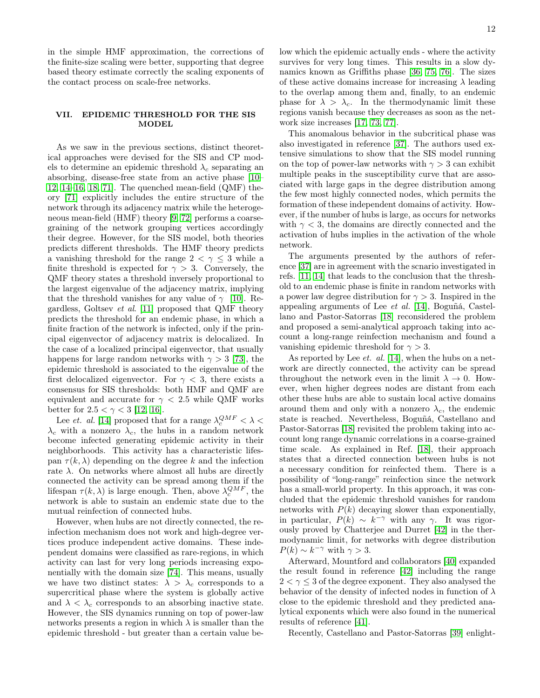in the simple HMF approximation, the corrections of the finite-size scaling were better, supporting that degree based theory estimate correctly the scaling exponents of the contact process on scale-free networks.

## <span id="page-11-0"></span>VII. EPIDEMIC THRESHOLD FOR THE SIS MODEL

As we saw in the previous sections, distinct theoretical approaches were devised for the SIS and CP models to determine an epidemic threshold  $\lambda_c$  separating an absorbing, disease-free state from an active phase [\[10–](#page-13-1) [12,](#page-13-41) [14–](#page-13-14)[16,](#page-13-15) [18,](#page-13-2) [71\]](#page-13-56). The quenched mean-field (QMF) theory [\[71\]](#page-13-56) explicitly includes the entire structure of the network through its adjacency matrix while the heterogeneous mean-field (HMF) theory [\[9,](#page-13-0) [72\]](#page-14-0) performs a coarsegraining of the network grouping vertices accordingly their degree. However, for the SIS model, both theories predicts different thresholds. The HMF theory predicts a vanishing threshold for the range  $2 < \gamma \leq 3$  while a finite threshold is expected for  $\gamma > 3$ . Conversely, the QMF theory states a threshold inversely proportional to the largest eigenvalue of the adjacency matrix, implying that the threshold vanishes for any value of  $\gamma$  [\[10\]](#page-13-1). Regardless, Goltsev et al. [\[11\]](#page-13-13) proposed that QMF theory predicts the threshold for an endemic phase, in which a finite fraction of the network is infected, only if the principal eigenvector of adjacency matrix is delocalized. In the case of a localized principal eigenvector, that usually happens for large random networks with  $\gamma > 3$  [\[73\]](#page-14-1), the epidemic threshold is associated to the eigenvalue of the first delocalized eigenvector. For  $\gamma < 3$ , there exists a consensus for SIS thresholds: both HMF and QMF are equivalent and accurate for  $\gamma$  < 2.5 while QMF works better for  $2.5 < \gamma < 3$  [\[12,](#page-13-41) [16\]](#page-13-15).

Lee *et. al.* [\[14\]](#page-13-14) proposed that for a range  $\lambda_c^{QMF} < \lambda <$  $\lambda_c$  with a nonzero  $\lambda_c$ , the hubs in a random network become infected generating epidemic activity in their neighborhoods. This activity has a characteristic lifespan  $\tau(k, \lambda)$  depending on the degree k and the infection rate  $\lambda$ . On networks where almost all hubs are directly connected the activity can be spread among them if the lifespan  $\tau(k, \lambda)$  is large enough. Then, above  $\lambda_c^{QMF}$ , the network is able to sustain an endemic state due to the mutual reinfection of connected hubs.

However, when hubs are not directly connected, the reinfection mechanism does not work and high-degree vertices produce independent active domains. These independent domains were classified as rare-regions, in which activity can last for very long periods increasing exponentially with the domain size [\[74\]](#page-14-2). This means, usually we have two distinct states:  $\lambda > \lambda_c$  corresponds to a supercritical phase where the system is globally active and  $\lambda < \lambda_c$  corresponds to an absorbing inactive state. However, the SIS dynamics running on top of power-law networks presents a region in which  $\lambda$  is smaller than the epidemic threshold - but greater than a certain value below which the epidemic actually ends - where the activity survives for very long times. This results in a slow dynamics known as Griffiths phase [\[36,](#page-13-20) [75,](#page-14-3) [76\]](#page-14-4). The sizes of these active domains increase for increasing  $\lambda$  leading to the overlap among them and, finally, to an endemic phase for  $\lambda > \lambda_c$ . In the thermodynamic limit these regions vanish because they decreases as soon as the network size increases [\[17,](#page-13-23) [73,](#page-14-1) [77\]](#page-14-5).

This anomalous behavior in the subcritical phase was also investigated in reference [\[37\]](#page-13-22). The authors used extensive simulations to show that the SIS model running on the top of power-law networks with  $\gamma > 3$  can exhibit multiple peaks in the susceptibility curve that are associated with large gaps in the degree distribution among the few most highly connected nodes, which permits the formation of these independent domains of activity. However, if the number of hubs is large, as occurs for networks with  $\gamma < 3$ , the domains are directly connected and the activation of hubs implies in the activation of the whole network.

The arguments presented by the authors of reference [\[37\]](#page-13-22) are in agreement with the scnario investigated in refs. [\[11,](#page-13-13) [14\]](#page-13-14) that leads to the conclusion that the threshold to an endemic phase is finite in random networks with a power law degree distribution for  $\gamma > 3$ . Inspired in the appealing arguments of Lee et al. [\[14\]](#page-13-14), Boguñá, Castellano and Pastor-Satorras [\[18\]](#page-13-2) reconsidered the problem and proposed a semi-analytical approach taking into account a long-range reinfection mechanism and found a vanishing epidemic threshold for  $\gamma > 3$ .

As reported by Lee *et. al.* [\[14\]](#page-13-14), when the hubs on a network are directly connected, the activity can be spread throughout the network even in the limit  $\lambda \to 0$ . However, when higher degrees nodes are distant from each other these hubs are able to sustain local active domains around them and only with a nonzero  $\lambda_c$ , the endemic state is reached. Nevertheless, Boguñá, Castellano and Pastor-Satorras [\[18\]](#page-13-2) revisited the problem taking into account long range dynamic correlations in a coarse-grained time scale. As explained in Ref. [\[18\]](#page-13-2), their approach states that a directed connection between hubs is not a necessary condition for reinfected them. There is a possibility of "long-range" reinfection since the network has a small-world property. In this approach, it was concluded that the epidemic threshold vanishes for random networks with  $P(k)$  decaying slower than exponentially, in particular,  $P(k) \sim k^{-\gamma}$  with any  $\gamma$ . It was rigorously proved by Chatterjee and Durret [\[42\]](#page-13-18) in the thermodynamic limit, for networks with degree distribution  $P(k) \sim k^{-\gamma}$  with  $\gamma > 3$ .

Afterward, Mountford and collaborators [\[40\]](#page-13-57) expanded the result found in reference [\[42\]](#page-13-18) including the range  $2 < \gamma < 3$  of the degree exponent. They also analysed the behavior of the density of infected nodes in function of  $\lambda$ close to the epidemic threshold and they predicted analytical exponents which were also found in the numerical results of reference [\[41\]](#page-13-58).

Recently, Castellano and Pastor-Satorras [\[39\]](#page-13-59) enlight-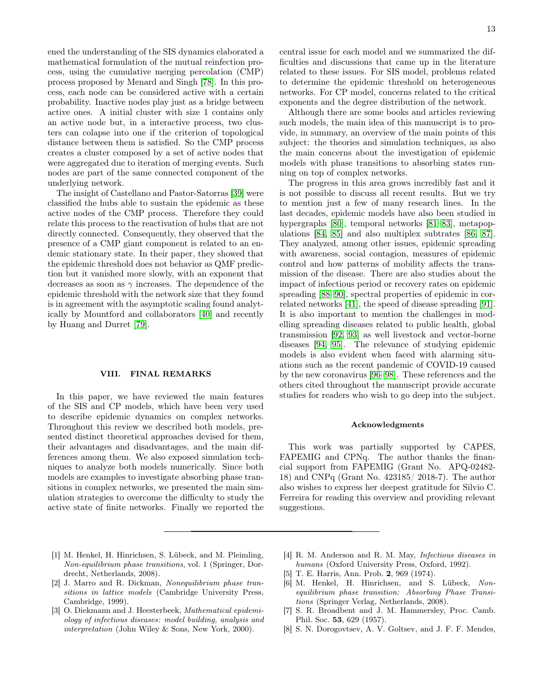ened the understanding of the SIS dynamics elaborated a mathematical formulation of the mutual reinfection process, using the cumulative merging percolation (CMP) process proposed by Menard and Singh [\[78\]](#page-14-6). In this process, each node can be considered active with a certain probability. Inactive nodes play just as a bridge between active ones. A initial cluster with size 1 contains only an active node but, in a interactive process, two clusters can colapse into one if the criterion of topological distance between them is satisfied. So the CMP process creates a cluster composed by a set of active nodes that were aggregated due to iteration of merging events. Such nodes are part of the same connected component of the underlying network.

The insight of Castellano and Pastor-Satorras [\[39\]](#page-13-59) were classified the hubs able to sustain the epidemic as these active nodes of the CMP process. Therefore they could relate this process to the reactivation of hubs that are not directly connected. Consequently, they observed that the presence of a CMP giant component is related to an endemic stationary state. In their paper, they showed that the epidemic threshold does not behavior as QMF prediction but it vanished more slowly, with an exponent that decreases as soon as  $\gamma$  increases. The dependence of the epidemic threshold with the network size that they found is in agreement with the asymptotic scaling found analytically by Mountford and collaborators [\[40\]](#page-13-57) and recently by Huang and Durret [\[79\]](#page-14-7).

#### <span id="page-12-8"></span>VIII. FINAL REMARKS

In this paper, we have reviewed the main features of the SIS and CP models, which have been very used to describe epidemic dynamics on complex networks. Throughout this review we described both models, presented distinct theoretical approaches devised for them, their advantages and disadvantages, and the main differences among them. We also exposed simulation techniques to analyze both models numerically. Since both models are examples to investigate absorbing phase transitions in complex networks, we presented the main simulation strategies to overcome the difficulty to study the active state of finite networks. Finally we reported the central issue for each model and we summarized the difficulties and discussions that came up in the literature related to these issues. For SIS model, problems related to determine the epidemic threshold on heterogeneous networks. For CP model, concerns related to the critical exponents and the degree distribution of the network.

Although there are some books and articles reviewing such models, the main idea of this manuscript is to provide, in summary, an overview of the main points of this subject: the theories and simulation techniques, as also the main concerns about the investigation of epidemic models with phase transitions to absorbing states running on top of complex networks.

The progress in this area grows incredibly fast and it is not possible to discuss all recent results. But we try to mention just a few of many research lines. In the last decades, epidemic models have also been studied in hypergraphs [\[80\]](#page-14-8), temporal networks [\[81–](#page-14-9)[83\]](#page-14-10), metapopulations [\[84,](#page-14-11) [85\]](#page-14-12) and also multiplex subtrates [\[86,](#page-14-13) [87\]](#page-14-14). They analyzed, among other issues, epidemic spreading with awareness, social contagion, measures of epidemic control and how patterns of mobility affects the transmission of the disease. There are also studies about the impact of infectious period or recovery rates on epidemic spreading [\[88](#page-14-15)[–90\]](#page-14-16), spectral properties of epidemic in correlated networks [\[41\]](#page-13-58), the speed of disease spreading [\[91\]](#page-14-17). It is also important to mention the challenges in modelling spreading diseases related to public health, global transmission [\[92,](#page-14-18) [93\]](#page-14-19) as well livestock and vector-borne diseases [\[94,](#page-14-20) [95\]](#page-14-21). The relevance of studying epidemic models is also evident when faced with alarming situations such as the recent pandemic of COVID-19 caused by the new coronavirus [\[96–](#page-14-22)[98\]](#page-14-23). These references and the others cited throughout the manuscript provide accurate studies for readers who wish to go deep into the subject.

#### Acknowledgments

This work was partially supported by CAPES, FAPEMIG and CPNq. The author thanks the financial support from FAPEMIG (Grant No. APQ-02482- 18) and CNPq (Grant No. 423185/ 2018-7). The author also wishes to express her deepest gratitude for Silvio C. Ferreira for reading this overview and providing relevant suggestions.

- <span id="page-12-0"></span>[1] M. Henkel, H. Hinrichsen, S. Lübeck, and M. Pleimling, Non-equilibrium phase transitions, vol. 1 (Springer, Dordrecht, Netherlands, 2008).
- <span id="page-12-1"></span>[2] J. Marro and R. Dickman, Nonequilibrium phase transitions in lattice models (Cambridge University Press, Cambridge, 1999).
- <span id="page-12-2"></span>[3] O. Diekmann and J. Heesterbeek, Mathematical epidemiology of infectious diseases: model building, analysis and interpretation (John Wiley & Sons, New York, 2000).
- <span id="page-12-3"></span>[4] R. M. Anderson and R. M. May, Infectious diseases in humans (Oxford University Press, Oxford, 1992).
- <span id="page-12-4"></span>[5] T. E. Harris, Ann. Prob. 2, 969 (1974).
- <span id="page-12-5"></span>[6] M. Henkel, H. Hinrichsen, and S. Lübeck, Nonequilibrium phase transition: Absorbing Phase Transitions (Springer Verlag, Netherlands, 2008).
- <span id="page-12-6"></span>[7] S. R. Broadbent and J. M. Hammersley, Proc. Camb. Phil. Soc. 53, 629 (1957).
- <span id="page-12-7"></span>[8] S. N. Dorogovtsev, A. V. Goltsev, and J. F. F. Mendes,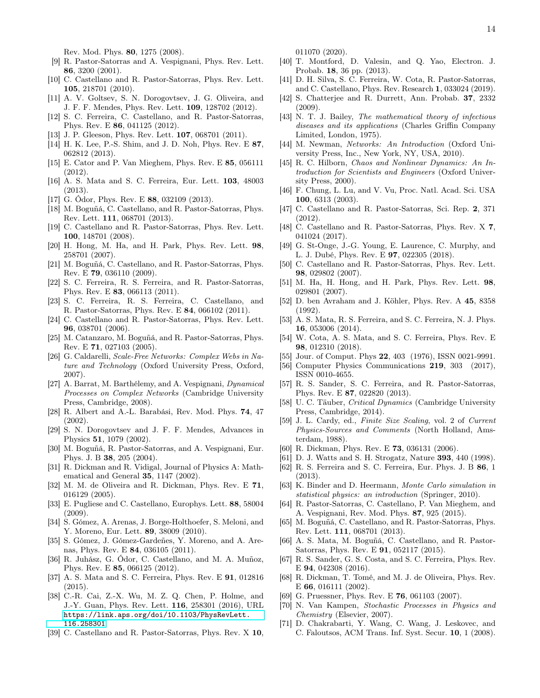Rev. Mod. Phys. 80, 1275 (2008).

- <span id="page-13-0"></span>[9] R. Pastor-Satorras and A. Vespignani, Phys. Rev. Lett. 86, 3200 (2001).
- <span id="page-13-1"></span>[10] C. Castellano and R. Pastor-Satorras, Phys. Rev. Lett. 105, 218701 (2010).
- <span id="page-13-13"></span>[11] A. V. Goltsev, S. N. Dorogovtsev, J. G. Oliveira, and J. F. F. Mendes, Phys. Rev. Lett. 109, 128702 (2012).
- <span id="page-13-41"></span>[12] S. C. Ferreira, C. Castellano, and R. Pastor-Satorras, Phys. Rev. E 86, 041125 (2012).
- [13] J. P. Gleeson, Phys. Rev. Lett. **107**, 068701 (2011).
- <span id="page-13-14"></span>[14] H. K. Lee, P.-S. Shim, and J. D. Noh, Phys. Rev. E 87, 062812 (2013).
- [15] E. Cator and P. Van Mieghem, Phys. Rev. E 85, 056111 (2012).
- <span id="page-13-15"></span>[16] A. S. Mata and S. C. Ferreira, Eur. Lett. 103, 48003 (2013).
- <span id="page-13-23"></span>[17] G. Ódor, Phys. Rev. E 88, 032109 (2013).
- <span id="page-13-2"></span>[18] M. Boguñá, C. Castellano, and R. Pastor-Satorras, Phys. Rev. Lett. 111, 068701 (2013).
- <span id="page-13-3"></span>[19] C. Castellano and R. Pastor-Satorras, Phys. Rev. Lett. 100, 148701 (2008).
- <span id="page-13-16"></span>[20] H. Hong, M. Ha, and H. Park, Phys. Rev. Lett. 98, 258701 (2007).
- <span id="page-13-31"></span>[21] M. Boguñá, C. Castellano, and R. Pastor-Satorras, Phys. Rev. E 79, 036110 (2009).
- <span id="page-13-19"></span>[22] S. C. Ferreira, R. S. Ferreira, and R. Pastor-Satorras, Phys. Rev. E 83, 066113 (2011).
- <span id="page-13-32"></span>[23] S. C. Ferreira, R. S. Ferreira, C. Castellano, and R. Pastor-Satorras, Phys. Rev. E 84, 066102 (2011).
- <span id="page-13-4"></span>[24] C. Castellano and R. Pastor-Satorras, Phys. Rev. Lett. 96, 038701 (2006).
- <span id="page-13-5"></span>[25] M. Catanzaro, M. Boguñá, and R. Pastor-Satorras, Phys. Rev. E 71, 027103 (2005).
- <span id="page-13-6"></span>[26] G. Caldarelli, Scale-Free Networks: Complex Webs in Nature and Technology (Oxford University Press, Oxford, 2007).
- <span id="page-13-7"></span>[27] A. Barrat, M. Barthélemy, and A. Vespignani, Dynamical Processes on Complex Networks (Cambridge University Press, Cambridge, 2008).
- <span id="page-13-8"></span>[28] R. Albert and A.-L. Barabási, Rev. Mod. Phys. 74, 47 (2002).
- <span id="page-13-9"></span>[29] S. N. Dorogovtsev and J. F. F. Mendes, Advances in Physics 51, 1079 (2002).
- <span id="page-13-10"></span>[30] M. Boguñá, R. Pastor-Satorras, and A. Vespignani, Eur. Phys. J. B 38, 205 (2004).
- <span id="page-13-11"></span>[31] R. Dickman and R. Vidigal, Journal of Physics A: Mathematical and General 35, 1147 (2002).
- <span id="page-13-12"></span>[32] M. M. de Oliveira and R. Dickman, Phys. Rev. E 71, 016129 (2005).
- <span id="page-13-17"></span>[33] E. Pugliese and C. Castellano, Europhys. Lett. 88, 58004 (2009).
- <span id="page-13-24"></span>[34] S. Gómez, A. Arenas, J. Borge-Holthoefer, S. Meloni, and Y. Moreno, Eur. Lett. 89, 38009 (2010).
- <span id="page-13-21"></span>[35] S. Gómez, J. Gómez-Gardeñes, Y. Moreno, and A. Arenas, Phys. Rev. E 84, 036105 (2011).
- <span id="page-13-20"></span>[36] R. Juhász, G. Ódor, C. Castellano, and M. A. Muñoz, Phys. Rev. E 85, 066125 (2012).
- <span id="page-13-22"></span>[37] A. S. Mata and S. C. Ferreira, Phys. Rev. E 91, 012816 (2015).
- <span id="page-13-36"></span>[38] C.-R. Cai, Z.-X. Wu, M. Z. Q. Chen, P. Holme, and J.-Y. Guan, Phys. Rev. Lett. 116, 258301 (2016), URL [https://link.aps.org/doi/10.1103/PhysRevLett.](https://link.aps.org/doi/10.1103/PhysRevLett.116.258301) [116.258301](https://link.aps.org/doi/10.1103/PhysRevLett.116.258301).
- <span id="page-13-59"></span>[39] C. Castellano and R. Pastor-Satorras, Phys. Rev. X 10,

011070 (2020).

- <span id="page-13-57"></span>[40] T. Montford, D. Valesin, and Q. Yao, Electron. J. Probab. 18, 36 pp. (2013).
- <span id="page-13-58"></span>[41] D. H. Silva, S. C. Ferreira, W. Cota, R. Pastor-Satorras, and C. Castellano, Phys. Rev. Research 1, 033024 (2019).
- <span id="page-13-18"></span>[42] S. Chatterjee and R. Durrett, Ann. Probab. 37, 2332 (2009).
- <span id="page-13-25"></span>[43] N. T. J. Bailey, *The mathematical theory of infectious* diseases and its applications (Charles Griffin Company Limited, London, 1975).
- <span id="page-13-26"></span>[44] M. Newman, Networks: An Introduction (Oxford University Press, Inc., New York, NY, USA, 2010).
- <span id="page-13-27"></span>[45] R. C. Hilborn, Chaos and Nonlinear Dynamics: An Introduction for Scientists and Engineers (Oxford University Press, 2000).
- <span id="page-13-28"></span>[46] F. Chung, L. Lu, and V. Vu, Proc. Natl. Acad. Sci. USA 100, 6313 (2003).
- <span id="page-13-29"></span>[47] C. Castellano and R. Pastor-Satorras, Sci. Rep. 2, 371 (2012).
- [48] C. Castellano and R. Pastor-Satorras, Phys. Rev. X 7, 041024 (2017).
- <span id="page-13-30"></span>[49] G. St-Onge, J.-G. Young, E. Laurence, C. Murphy, and L. J. Dubé, Phys. Rev. E 97, 022305 (2018).
- <span id="page-13-33"></span>[50] C. Castellano and R. Pastor-Satorras, Phys. Rev. Lett. 98, 029802 (2007).
- <span id="page-13-34"></span>[51] M. Ha, H. Hong, and H. Park, Phys. Rev. Lett. 98, 029801 (2007).
- <span id="page-13-35"></span>[52] D. ben Avraham and J. Köhler, Phys. Rev. A 45, 8358 (1992).
- <span id="page-13-37"></span>[53] A. S. Mata, R. S. Ferreira, and S. C. Ferreira, N. J. Phys. 16, 053006 (2014).
- <span id="page-13-38"></span>[54] W. Cota, A. S. Mata, and S. C. Ferreira, Phys. Rev. E 98, 012310 (2018).
- <span id="page-13-39"></span>[55] Jour. of Comput. Phys **22**, 403 (1976), ISSN 0021-9991.
- <span id="page-13-40"></span>[56] Computer Physics Communications 219, 303 (2017), ISSN 0010-4655.
- <span id="page-13-42"></span>[57] R. S. Sander, S. C. Ferreira, and R. Pastor-Satorras, Phys. Rev. E 87, 022820 (2013).
- <span id="page-13-43"></span>[58] U. C. Täuber, Critical Dynamics (Cambridge University Press, Cambridge, 2014).
- <span id="page-13-44"></span>[59] J. L. Cardy, ed., Finite Size Scaling, vol. 2 of Current Physics-Sources and Comments (North Holland, Amsterdam, 1988).
- <span id="page-13-45"></span>[60] R. Dickman, Phys. Rev. E **73**, 036131 (2006).
- <span id="page-13-46"></span>[61] D. J. Watts and S. H. Strogatz, Nature 393, 440 (1998).
- <span id="page-13-47"></span>[62] R. S. Ferreira and S. C. Ferreira, Eur. Phys. J. B 86, 1 (2013).
- <span id="page-13-48"></span>[63] K. Binder and D. Heermann, Monte Carlo simulation in statistical physics: an introduction (Springer, 2010).
- <span id="page-13-49"></span>[64] R. Pastor-Satorras, C. Castellano, P. Van Mieghem, and A. Vespignani, Rev. Mod. Phys. 87, 925 (2015).
- <span id="page-13-50"></span>[65] M. Boguñá, C. Castellano, and R. Pastor-Satorras, Phys. Rev. Lett. 111, 068701 (2013).
- <span id="page-13-51"></span>[66] A. S. Mata, M. Boguñá, C. Castellano, and R. Pastor-Satorras, Phys. Rev. E 91, 052117 (2015).
- <span id="page-13-52"></span>[67] R. S. Sander, G. S. Costa, and S. C. Ferreira, Phys. Rev. E 94, 042308 (2016).
- <span id="page-13-53"></span>[68] R. Dickman, T. Tomé, and M. J. de Oliveira, Phys. Rev. E 66, 016111 (2002).
- <span id="page-13-54"></span>[69] G. Pruessner, Phys. Rev. E 76, 061103 (2007).
- <span id="page-13-55"></span>[70] N. Van Kampen, Stochastic Processes in Physics and Chemistry (Elsevier, 2007).
- <span id="page-13-56"></span>[71] D. Chakrabarti, Y. Wang, C. Wang, J. Leskovec, and C. Faloutsos, ACM Trans. Inf. Syst. Secur. 10, 1 (2008).